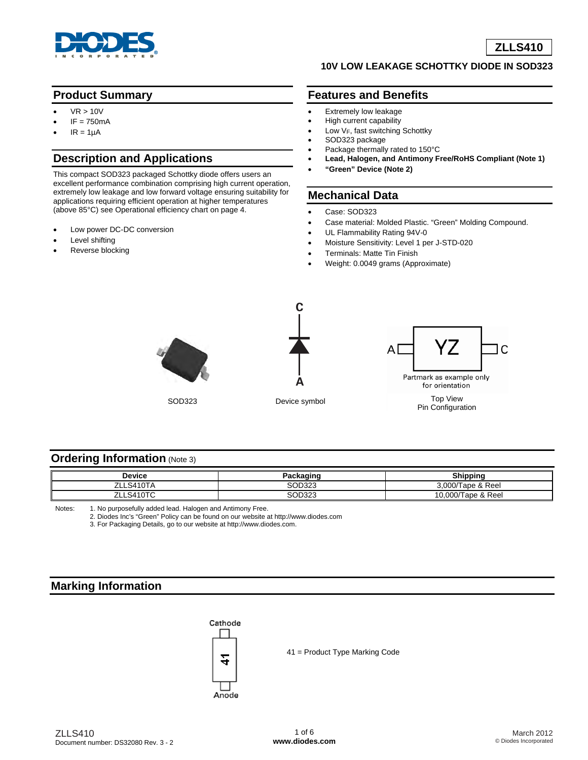

## **Product Summary**

- $VR > 10V$
- $IF = 750mA$
- $IR = 1\mu A$

# **Description and Applications**

This compact SOD323 packaged Schottky diode offers users an excellent performance combination comprising high current operation, extremely low leakage and low forward voltage ensuring suitability for applications requiring efficient operation at higher temperatures (above 85°C) see Operational efficiency chart on page 4.

- Low power DC-DC conversion
- Level shifting
- Reverse blocking

#### **10V LOW LEAKAGE SCHOTTKY DIODE IN SOD323**

## **Features and Benefits**

- Extremely low leakage
- High current capability
- Low  $V_F$ , fast switching Schottky
- SOD323 package
- Package thermally rated to 150°C • **Lead, Halogen, and Antimony Free/RoHS Compliant (Note 1)**
- **"Green" Device (Note 2)**

## **Mechanical Data**

- Case: SOD323
- Case material: Molded Plastic. "Green" Molding Compound.
- UL Flammability Rating 94V-0
- Moisture Sensitivity: Level 1 per J-STD-020
- Terminals: Matte Tin Finish
- Weight: 0.0049 grams (Approximate)





SOD323 Device symbol



Pin Configuration

#### **Ordering Information (Note 3)**

| Device                | nin o  | <b>Shipping</b>        |  |
|-----------------------|--------|------------------------|--|
| <b>S410TA</b><br>7H   | SOD323 | Tape & Reel<br>3,000/T |  |
| S410TC<br><b>71 L</b> | SOD323 | Tape & Reel<br>10.000/ |  |

Notes: 1. No purposefully added lead. Halogen and Antimony Free.

2. Diodes Inc's "Green" Policy can be found on our website at <http://www.diodes.com>

3. For Packaging Details, go to our website at [http://www.diodes.com.](http://www.diodes.com)

## **Marking Information**



41 = Product Type Marking Code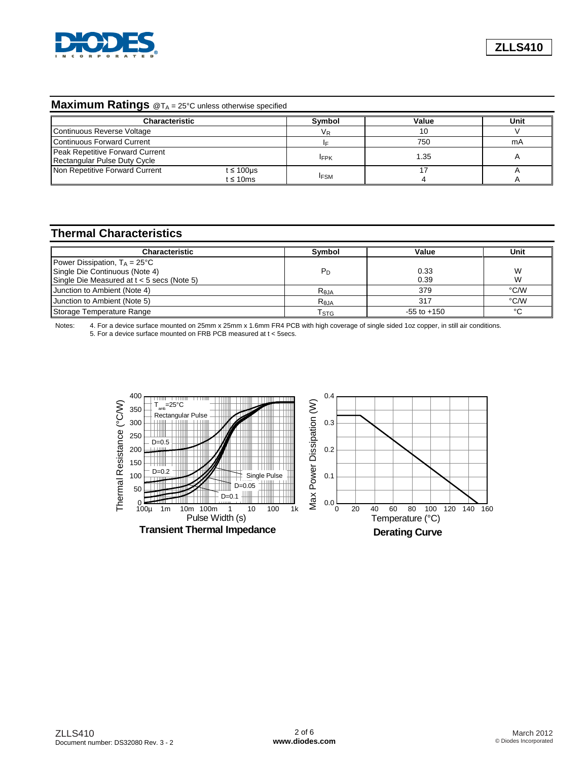

## **Maximum Ratings** @T<sub>A</sub> = 25°C unless otherwise specified

| <b>Characteristic</b>                                           |                       | Symbol      | Value | Unit |
|-----------------------------------------------------------------|-----------------------|-------------|-------|------|
| Continuous Reverse Voltage                                      |                       | VR          | 10    |      |
| Continuous Forward Current                                      |                       |             | 750   | mA   |
| Peak Repetitive Forward Current<br>Rectangular Pulse Duty Cycle |                       | <b>IFPK</b> | 1.35  |      |
| Non Repetitive Forward Current                                  | t ≤ 100µs<br>t ≤ 10ms | <b>IFSM</b> |       |      |

# **Thermal Characteristics**

| <b>Characteristic</b>                        | <b>Symbol</b>             | Value           | Unit   |
|----------------------------------------------|---------------------------|-----------------|--------|
| Power Dissipation, $T_A = 25^{\circ}C$       |                           |                 |        |
| Single Die Continuous (Note 4)               | P <sub>D</sub>            | 0.33            | W      |
| Single Die Measured at $t < 5$ secs (Note 5) |                           | 0.39            | W      |
| Junction to Ambient (Note 4)                 | Reja                      | 379             | °C/W   |
| Junction to Ambient (Note 5)                 | R <sub>eJA</sub>          | 317             | °C/W   |
| Storage Temperature Range                    | $\mathsf{T}_{\text{STG}}$ | $-55$ to $+150$ | $\sim$ |

Notes: 4. For a device surface mounted on 25mm x 25mm x 1.6mm FR4 PCB with high coverage of single sided 1oz copper, in still air conditions. 5. For a device surface mounted on FRB PCB measured at t < 5secs.

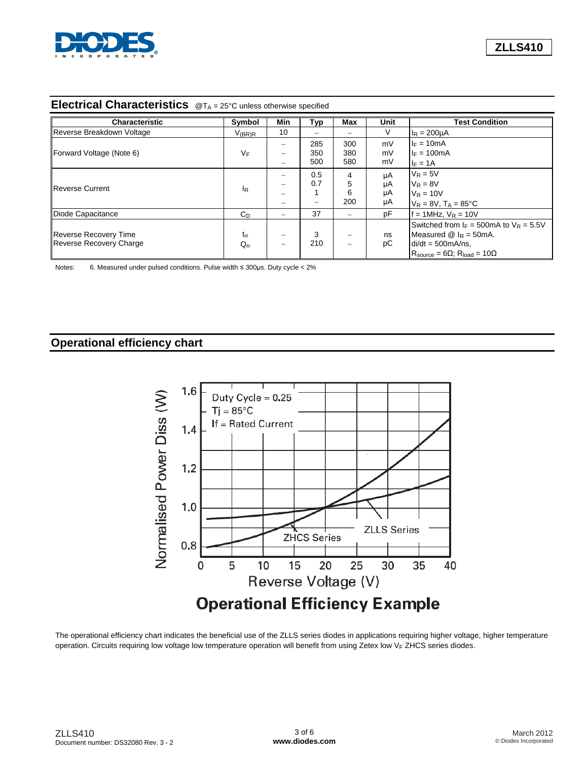

## **Electrical Characteristics** @TA = 25°C unless otherwise specified

| <b>Characteristic</b>          | Symbol        | <b>Min</b>               | Typ | <b>Max</b>               | Unit | <b>Test Condition</b>                                        |
|--------------------------------|---------------|--------------------------|-----|--------------------------|------|--------------------------------------------------------------|
| Reverse Breakdown Voltage      | $V_{(BR)R}$   | 10                       | -   | -                        | V    | $I_R = 200 \mu A$                                            |
| Forward Voltage (Note 6)       |               |                          | 285 | 300                      | mV   | $I_F = 10mA$                                                 |
|                                | VF            |                          | 350 | 380                      | mV   | $I_F = 100mA$                                                |
|                                |               |                          | 500 | 580                      | mV   | $I_F = 1A$                                                   |
| Reverse Current                |               |                          | 0.5 | 4                        | μA   | $V_R = 5V$                                                   |
|                                |               |                          | 0.7 | 5                        | μA   | $V_R = 8V$                                                   |
|                                | <sub>lR</sub> |                          |     | 6                        | μA   | $V_R = 10V$                                                  |
|                                |               |                          | -   | 200                      | μA   | $V_R = 8V$ , $T_A = 85^{\circ}C$                             |
| Diode Capacitance              | $C_{D}$       | $\overline{\phantom{0}}$ | 37  | $\overline{\phantom{0}}$ | pF   | $f = 1$ MHz, $V_R = 10V$                                     |
|                                |               |                          |     |                          |      | Switched from $I_F = 500 \text{mA}$ to $V_R = 5.5 V$         |
| <b>Reverse Recovery Time</b>   | $t_{rr}$      |                          | 3   | -                        | ns   | Measured $\omega$ $I_R$ = 50mA.                              |
| <b>Reverse Recovery Charge</b> | $Q_{rr}$      |                          | 210 | $\overline{\phantom{0}}$ | рC   | $di/dt = 500mA/ns$ .                                         |
|                                |               |                          |     |                          |      | $R_{\text{source}} = 6\Omega$ ; $R_{\text{load}} = 10\Omega$ |

Notes: 6. Measured under pulsed conditions. Pulse width ≤ 300μs. Duty cycle < 2%

## **Operational efficiency chart**



The operational efficiency chart indicates the beneficial use of the ZLLS series diodes in applications requiring higher voltage, higher temperature operation. Circuits requiring low voltage low temperature operation will benefit from using Zetex low  $V_F$  ZHCS series diodes.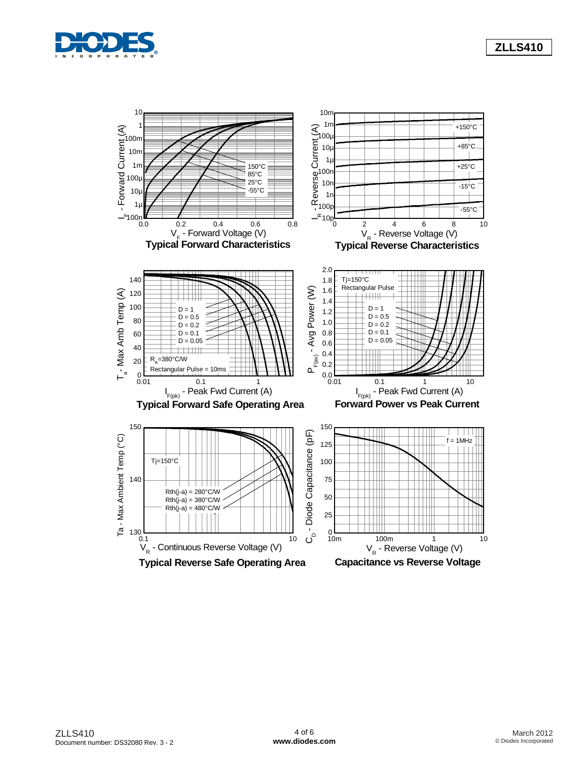



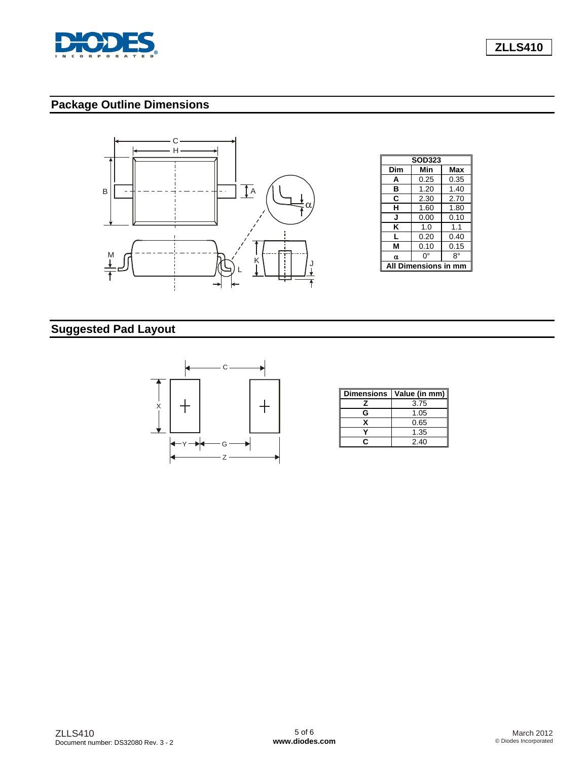

**ZLLS410**

# **Package Outline Dimensions**



# **Suggested Pad Layout**



| <b>Dimensions</b> | Value (in mm) |
|-------------------|---------------|
| 7                 | 3.75          |
| G                 | 1.05          |
| x                 | 0.65          |
|                   | 1.35          |
|                   | 2.40          |